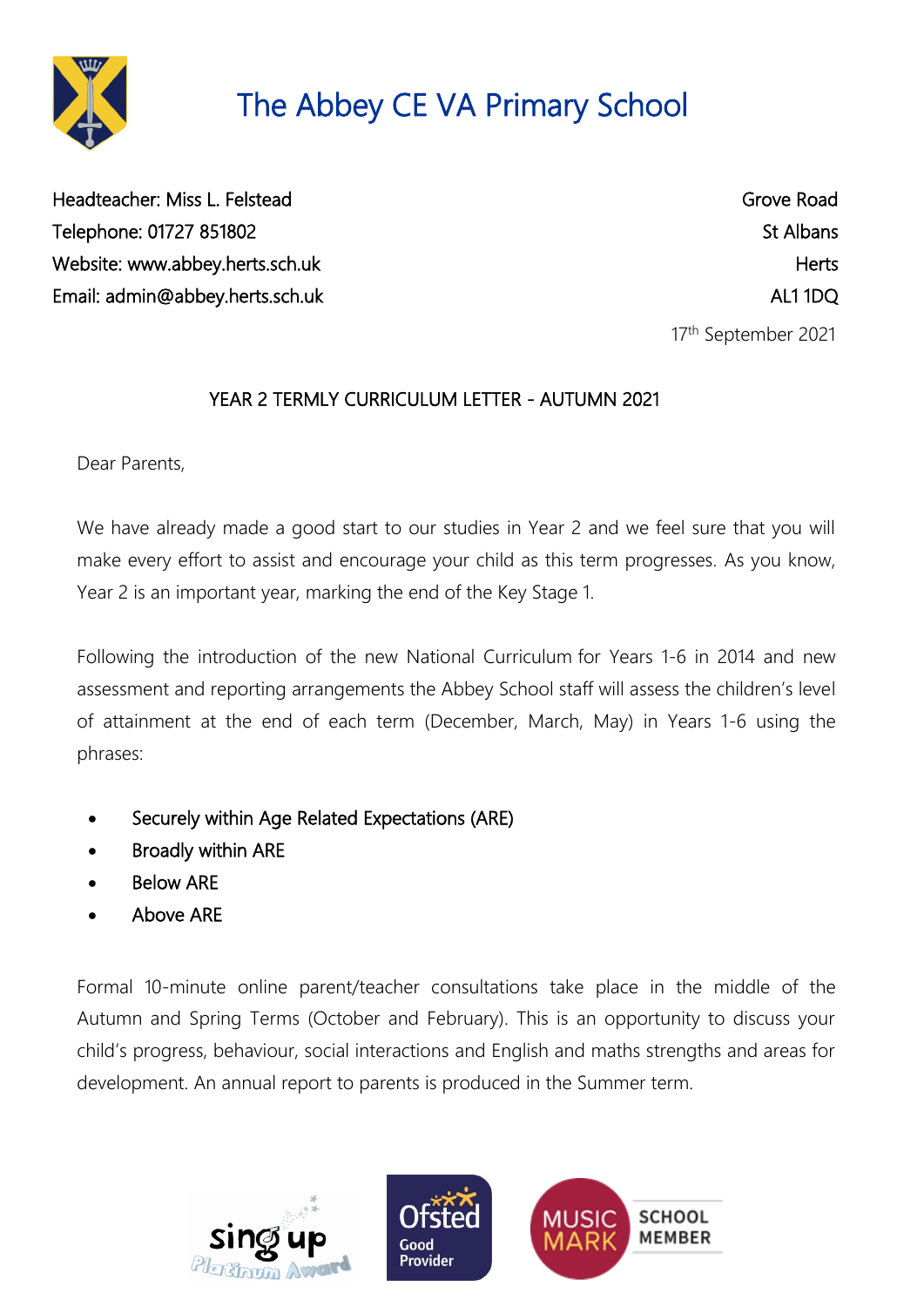

Headteacher: Miss L. Felstead Grove Road Telephone: 01727 851802 St Albans Website: [www.abbey.herts.sch.uk](http://www.abbey.herts.sch.uk/) https://www.abbey.herts.sch.uk Email: [admin@abbey.herts.sch.uk](mailto:admin@abbey.herts.sch.uk) AL1 1DQ

17th September 2021

### YEAR 2 TERMLY CURRICULUM LETTER - AUTUMN 2021

Dear Parents,

We have already made a good start to our studies in Year 2 and we feel sure that you will make every effort to assist and encourage your child as this term progresses. As you know, Year 2 is an important year, marking the end of the Key Stage 1.

Following the introduction of the new National Curriculum for Years 1-6 in 2014 and new assessment and reporting arrangements the Abbey School staff will assess the children's level of attainment at the end of each term (December, March, May) in Years 1-6 using the phrases:

- Securely within Age Related Expectations (ARE)
- Broadly within ARE
- Below ARE
- Above ARE

Formal 10-minute online parent/teacher consultations take place in the middle of the Autumn and Spring Terms (October and February). This is an opportunity to discuss your child's progress, behaviour, social interactions and English and maths strengths and areas for development. An annual report to parents is produced in the Summer term.



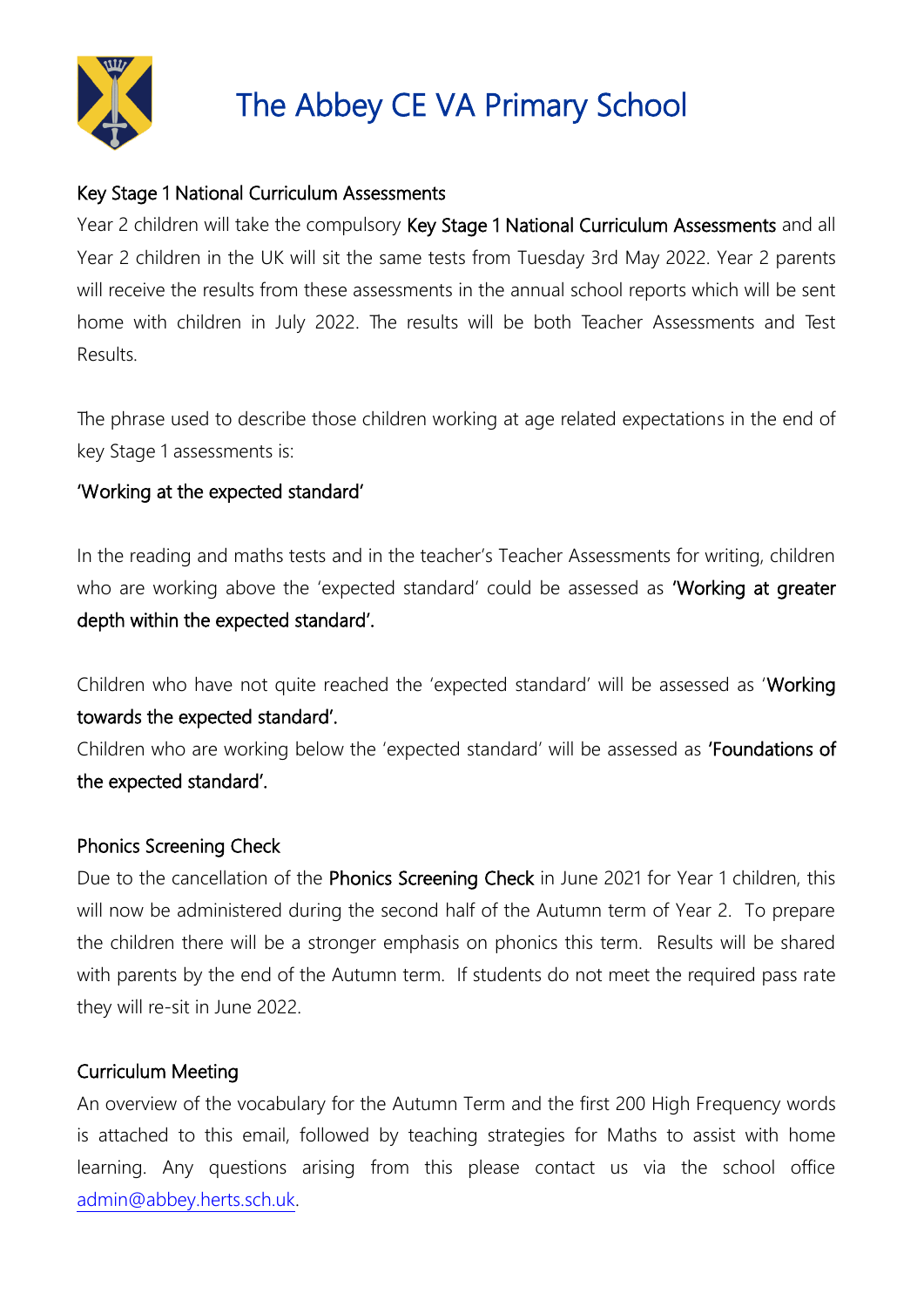

#### Key Stage 1 National Curriculum Assessments

Year 2 children will take the compulsory Key Stage 1 National Curriculum Assessments and all Year 2 children in the UK will sit the same tests from Tuesday 3rd May 2022. Year 2 parents will receive the results from these assessments in the annual school reports which will be sent home with children in July 2022. The results will be both Teacher Assessments and Test Results.

The phrase used to describe those children working at age related expectations in the end of key Stage 1 assessments is:

#### 'Working at the expected standard'

In the reading and maths tests and in the teacher's Teacher Assessments for writing, children who are working above the 'expected standard' could be assessed as 'Working at greater depth within the expected standard'.

Children who have not quite reached the 'expected standard' will be assessed as 'Working towards the expected standard'.

Children who are working below the 'expected standard' will be assessed as 'Foundations of the expected standard'.

#### Phonics Screening Check

Due to the cancellation of the Phonics Screening Check in June 2021 for Year 1 children, this will now be administered during the second half of the Autumn term of Year 2. To prepare the children there will be a stronger emphasis on phonics this term. Results will be shared with parents by the end of the Autumn term. If students do not meet the required pass rate they will re-sit in June 2022.

#### Curriculum Meeting

An overview of the vocabulary for the Autumn Term and the first 200 High Frequency words is attached to this email, followed by teaching strategies for Maths to assist with home learning. Any questions arising from this please contact us via the school office [admin@abbey.herts.sch.uk.](mailto:admin@abbey.herts.sch.uk)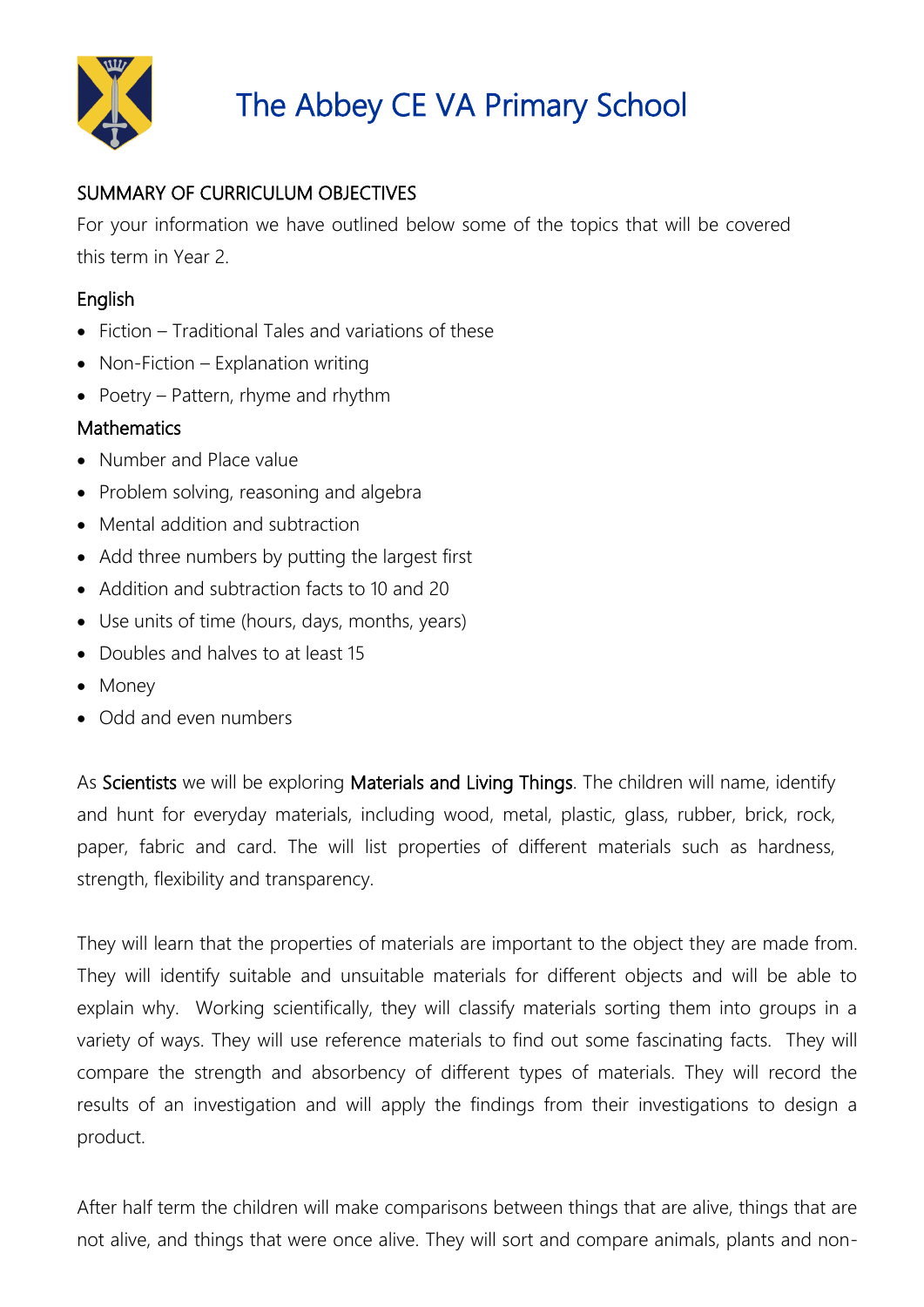

### SUMMARY OF CURRICULUM OBJECTIVES

For your information we have outlined below some of the topics that will be covered this term in Year 2.

### **English**

- Fiction Traditional Tales and variations of these
- Non-Fiction Explanation writing
- Poetry Pattern, rhyme and rhythm

### **Mathematics**

- Number and Place value
- Problem solving, reasoning and algebra
- Mental addition and subtraction
- Add three numbers by putting the largest first
- Addition and subtraction facts to 10 and 20
- Use units of time (hours, days, months, years)
- Doubles and halves to at least 15
- Money
- Odd and even numbers

As Scientists we will be exploring Materials and Living Things. The children will name, identify and hunt for everyday materials, including wood, metal, plastic, glass, rubber, brick, rock, paper, fabric and card. The will list properties of different materials such as hardness, strength, flexibility and transparency.

They will learn that the properties of materials are important to the object they are made from. They will identify suitable and unsuitable materials for different objects and will be able to explain why. Working scientifically, they will classify materials sorting them into groups in a variety of ways. They will use reference materials to find out some fascinating facts. They will compare the strength and absorbency of different types of materials. They will record the results of an investigation and will apply the findings from their investigations to design a product.

After half term the children will make comparisons between things that are alive, things that are not alive, and things that were once alive. They will sort and compare animals, plants and non-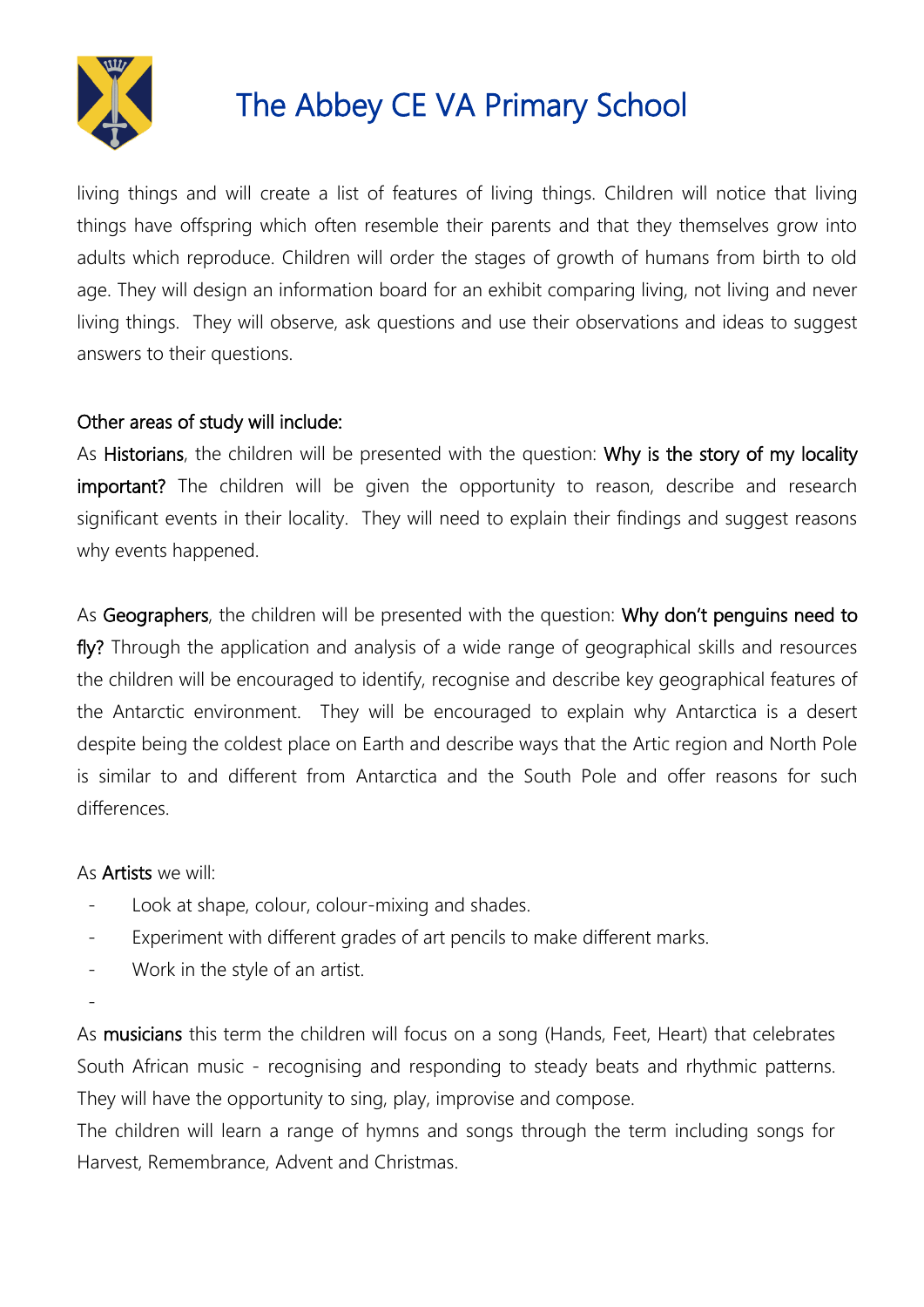

living things and will create a list of features of living things. Children will notice that living things have offspring which often resemble their parents and that they themselves grow into adults which reproduce. Children will order the stages of growth of humans from birth to old age. They will design an information board for an exhibit comparing living, not living and never living things. They will observe, ask questions and use their observations and ideas to suggest answers to their questions.

#### Other areas of study will include:

As Historians, the children will be presented with the question: Why is the story of my locality important? The children will be given the opportunity to reason, describe and research significant events in their locality. They will need to explain their findings and suggest reasons why events happened.

As Geographers, the children will be presented with the question: Why don't penguins need to fly? Through the application and analysis of a wide range of geographical skills and resources the children will be encouraged to identify, recognise and describe key geographical features of the Antarctic environment. They will be encouraged to explain why Antarctica is a desert despite being the coldest place on Earth and describe ways that the Artic region and North Pole is similar to and different from Antarctica and the South Pole and offer reasons for such differences.

#### As Artists we will:

- Look at shape, colour, colour-mixing and shades.
- Experiment with different grades of art pencils to make different marks.
- Work in the style of an artist.
- -

As musicians this term the children will focus on a song (Hands, Feet, Heart) that celebrates South African music - recognising and responding to steady beats and rhythmic patterns. They will have the opportunity to sing, play, improvise and compose.

The children will learn a range of hymns and songs through the term including songs for Harvest, Remembrance, Advent and Christmas.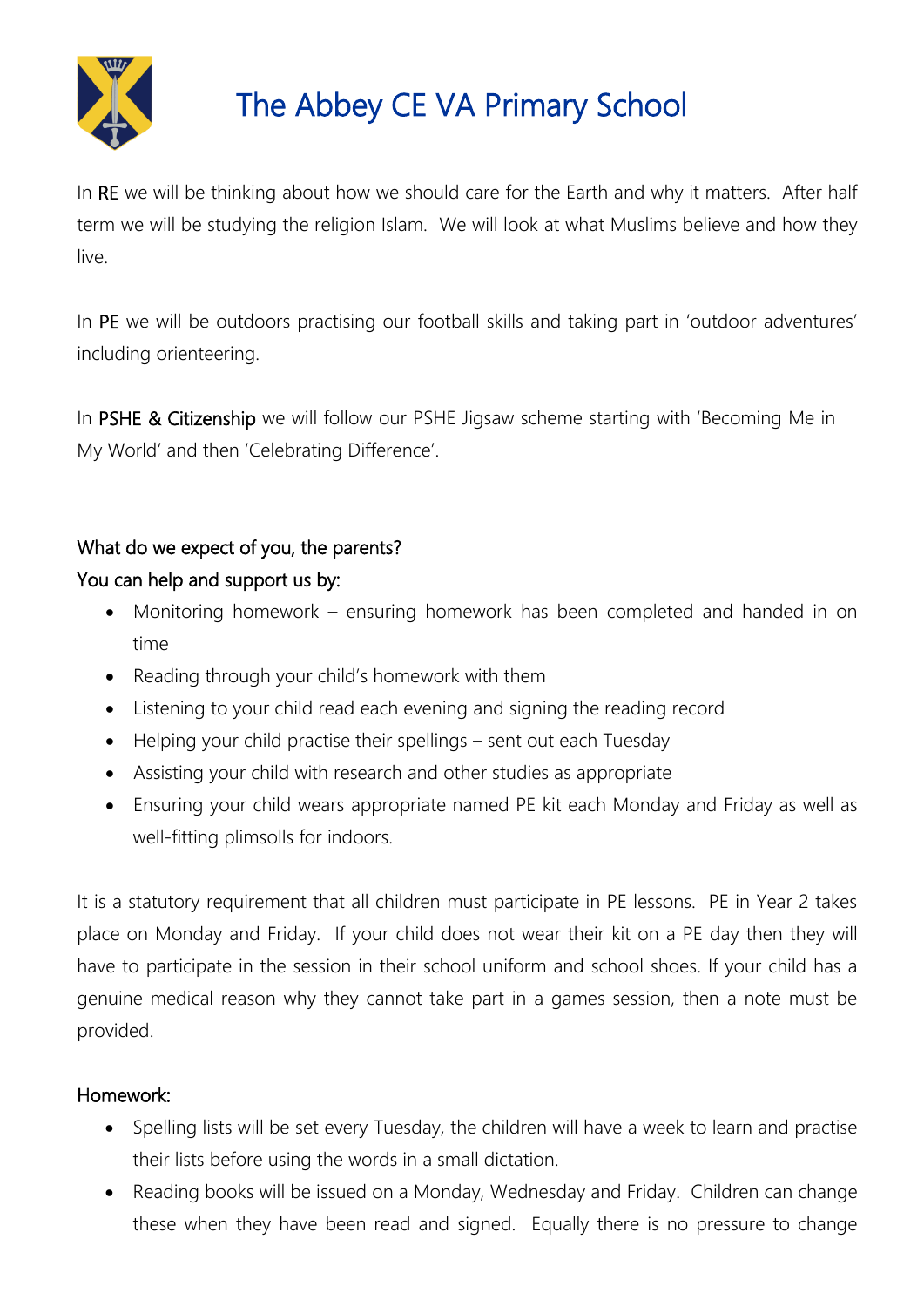

In RE we will be thinking about how we should care for the Earth and why it matters. After half term we will be studying the religion Islam. We will look at what Muslims believe and how they live.

In PE we will be outdoors practising our football skills and taking part in 'outdoor adventures' including orienteering.

In PSHE & Citizenship we will follow our PSHE Jigsaw scheme starting with 'Becoming Me in My World' and then 'Celebrating Difference'.

### What do we expect of you, the parents?

### You can help and support us by:

- Monitoring homework ensuring homework has been completed and handed in on time
- Reading through your child's homework with them
- Listening to your child read each evening and signing the reading record
- Helping your child practise their spellings sent out each Tuesday
- Assisting your child with research and other studies as appropriate
- Ensuring your child wears appropriate named PE kit each Monday and Friday as well as well-fitting plimsolls for indoors.

It is a statutory requirement that all children must participate in PE lessons. PE in Year 2 takes place on Monday and Friday. If your child does not wear their kit on a PE day then they will have to participate in the session in their school uniform and school shoes. If your child has a genuine medical reason why they cannot take part in a games session, then a note must be provided.

### Homework:

- Spelling lists will be set every Tuesday, the children will have a week to learn and practise their lists before using the words in a small dictation.
- Reading books will be issued on a Monday, Wednesday and Friday. Children can change these when they have been read and signed. Equally there is no pressure to change